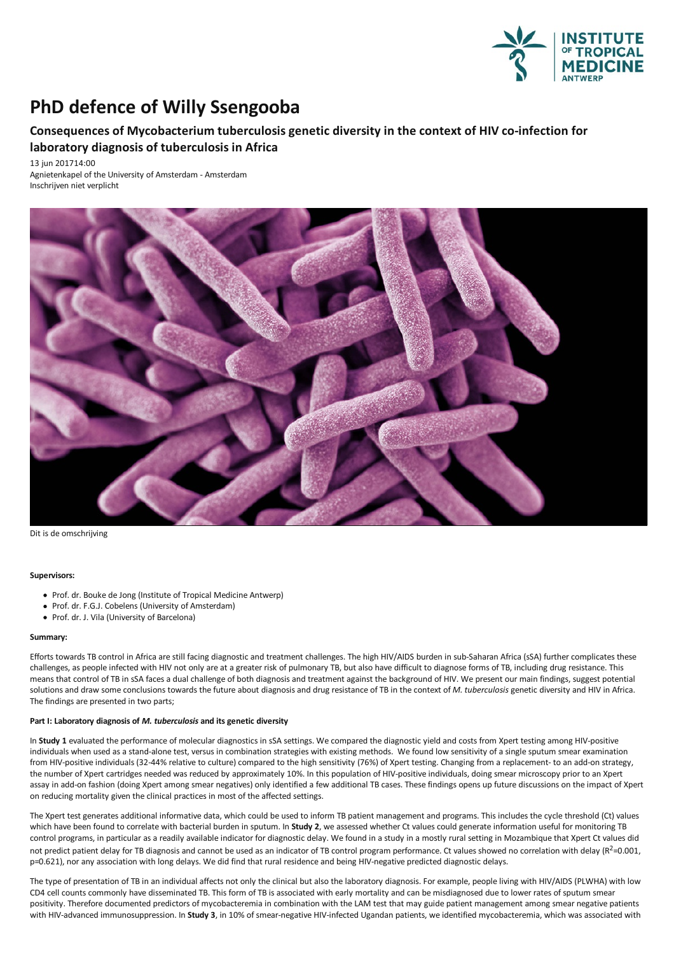

# **PhD** defence of Willy Ssengooba

# **Consequences of Mycobacterium tuberculosisgenetic diversity in the context of HIV co-infection for laboratory diagnosis of tuberculosis in Africa**

13 jun 201714:00 Agnietenkapel of the University of Amsterdam - Amsterdam Inschrijven niet verplicht



Dit is de omschrijving

#### **Supervisors:**

- Prof. dr. Bouke de Jong (Institute of Tropical Medicine Antwerp)
- Prof. dr. F.G.J. Cobelens (University of Amsterdam)
- Prof. dr. J. Vila (University of Barcelona)

## **Summary:**

Efforts towards TB control in Africa are still facing diagnostic and treatment challenges. The high HIV/AIDS burden in sub-Saharan Africa (sSA) further complicates these challenges, as people infected with HIV not only are at a greater risk of pulmonary TB, but also have difficult to diagnose forms of TB, including drug resistance. This<br>means that control of TB in sSA faces a dual challeng solutions and draw some conclusions towards the future about diagnosis and drug resistance of TB in the context of *M. tuberculosis* genetic diversity and HIV in Africa. The findings are presented in two parts;

#### **Part I: Laboratory diagnosis of** *M. tuberculosis* **and itsgenetic diversity**

In **Study 1** evaluated the performance of molecular diagnostics in sSA settings. We compared the diagnostic yield and costs from Xpert testingamong HIV-positive individuals when used as a stand-alone test, versus in combination strategies with existing methods. We found low sensitivity of a single sputum smear examination from HIV-positive individuals (32-44% relative to culture) compared to the high sensitivity (76%) of Xpert testing. Changing from areplacement- to an add-on strategy, the number of Xpert cartridges needed was reduced by approximately 10%. In this population of HIV-positive individuals, doing smear microscopy prior to an Xpert assay in add-on fashion (doing Xpert among smear negatives) only identified a few additional TB cases. These findings opens up future discussions on the impact of Xpert on reducing mortality given the clinical practices in most of the affected settings.

The Xpert test generates additional informative data, which could be used to inform TB patient management and programs. This includes the cycle threshold (Ct) values (Ct) values could generate information useful for monito control programs, in particular as a readily available indicator for diagnostic delay. We found in a study in a mostly rural setting in Mozambique that Xpert Ct values did not predict patient delay for TB diagnosis and cannot be used as an indicator of TB control program performance. Ct values showed no correlation with delay (R<sup>2</sup>=0.001, p=0.621), norany association with long delays. We did find that rural residence and being HIV-negative predicted diagnostic delays.

The type of presentation ofTB in an individual affects not only the clinical butalso the laboratory diagnosis.For example, people living with HIV/AIDS (PLWHA) with low CD4 cell counts commonly have disseminated TB. This form of TB is associated with early mortality and can be misdiagnosed due to lower rates of sputum smear<br>positivity. Therefore documented predictors of mycobacteremia in with HIV-advanced immunosuppression. In Study 3, in 10% of smear-negative HIV-infected Ugandan patients, we identified mycobacteremia, which was associated with